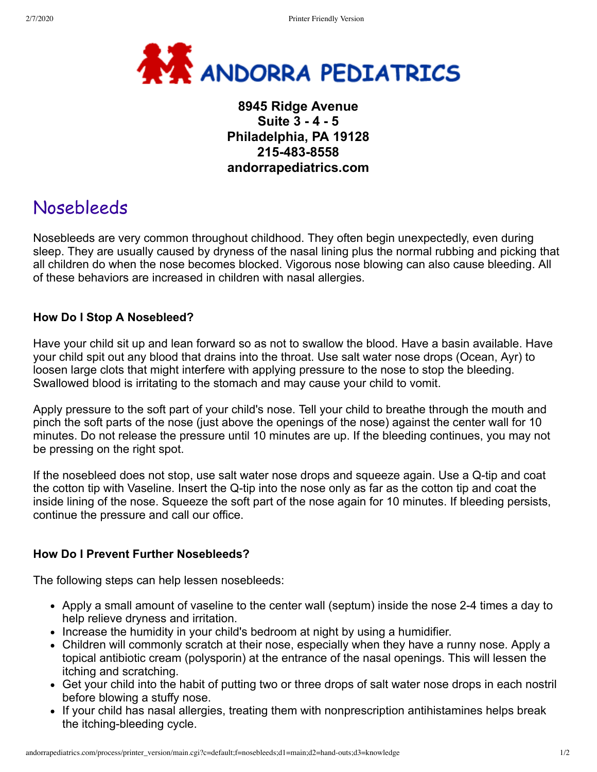

## **8945 Ridge Avenue Suite 3 - 4 - 5 Philadelphia, PA 19128 215-483-8558 andorrapediatrics.com**

# Nosebleeds

Nosebleeds are very common throughout childhood. They often begin unexpectedly, even during sleep. They are usually caused by dryness of the nasal lining plus the normal rubbing and picking that all children do when the nose becomes blocked. Vigorous nose blowing can also cause bleeding. All of these behaviors are increased in children with nasal allergies.

## **How Do I Stop A Nosebleed?**

Have your child sit up and lean forward so as not to swallow the blood. Have a basin available. Have your child spit out any blood that drains into the throat. Use salt water nose drops (Ocean, Ayr) to loosen large clots that might interfere with applying pressure to the nose to stop the bleeding. Swallowed blood is irritating to the stomach and may cause your child to vomit.

Apply pressure to the soft part of your child's nose. Tell your child to breathe through the mouth and pinch the soft parts of the nose (just above the openings of the nose) against the center wall for 10 minutes. Do not release the pressure until 10 minutes are up. If the bleeding continues, you may not be pressing on the right spot.

If the nosebleed does not stop, use salt water nose drops and squeeze again. Use a Q-tip and coat the cotton tip with Vaseline. Insert the Q-tip into the nose only as far as the cotton tip and coat the inside lining of the nose. Squeeze the soft part of the nose again for 10 minutes. If bleeding persists, continue the pressure and call our office.

### **How Do I Prevent Further Nosebleeds?**

The following steps can help lessen nosebleeds:

- Apply a small amount of vaseline to the center wall (septum) inside the nose 2-4 times a day to help relieve dryness and irritation.
- Increase the humidity in your child's bedroom at night by using a humidifier.
- Children will commonly scratch at their nose, especially when they have a runny nose. Apply a topical antibiotic cream (polysporin) at the entrance of the nasal openings. This will lessen the itching and scratching.
- Get your child into the habit of putting two or three drops of salt water nose drops in each nostril before blowing a stuffy nose.
- If your child has nasal allergies, treating them with nonprescription antihistamines helps break the itching-bleeding cycle.